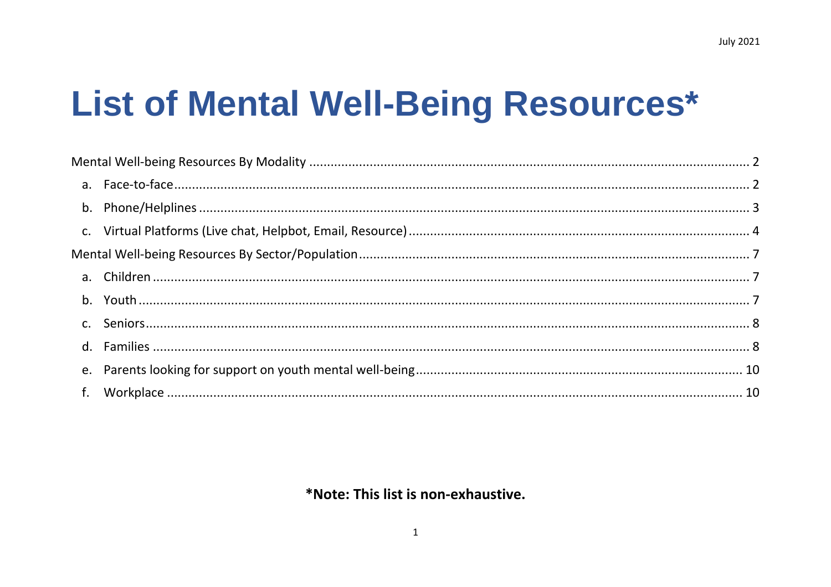# List of Mental Well-Being Resources\*

## \*Note: This list is non-exhaustive.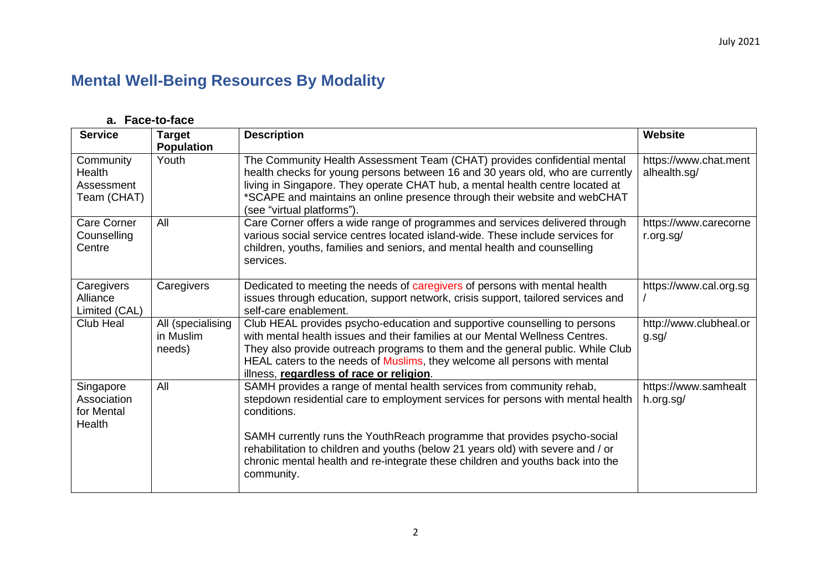# <span id="page-1-0"></span>**Mental Well-Being Resources By Modality**

#### **a. Face-to-face**

<span id="page-1-1"></span>

| <b>Service</b>                                   | <b>Target</b><br><b>Population</b>       | <b>Description</b>                                                                                                                                                                                                                                                                                                                                                                                                       | Website                               |
|--------------------------------------------------|------------------------------------------|--------------------------------------------------------------------------------------------------------------------------------------------------------------------------------------------------------------------------------------------------------------------------------------------------------------------------------------------------------------------------------------------------------------------------|---------------------------------------|
| Community<br>Health<br>Assessment<br>Team (CHAT) | Youth                                    | The Community Health Assessment Team (CHAT) provides confidential mental<br>health checks for young persons between 16 and 30 years old, who are currently<br>living in Singapore. They operate CHAT hub, a mental health centre located at<br>*SCAPE and maintains an online presence through their website and webCHAT<br>(see "virtual platforms").                                                                   | https://www.chat.ment<br>alhealth.sg/ |
| Care Corner<br>Counselling<br>Centre             | All                                      | Care Corner offers a wide range of programmes and services delivered through<br>various social service centres located island-wide. These include services for<br>children, youths, families and seniors, and mental health and counselling<br>services.                                                                                                                                                                 | https://www.carecorne<br>r.org.sg/    |
| Caregivers<br>Alliance<br>Limited (CAL)          | Caregivers                               | Dedicated to meeting the needs of caregivers of persons with mental health<br>issues through education, support network, crisis support, tailored services and<br>self-care enablement.                                                                                                                                                                                                                                  | https://www.cal.org.sg                |
| Club Heal                                        | All (specialising<br>in Muslim<br>needs) | Club HEAL provides psycho-education and supportive counselling to persons<br>with mental health issues and their families at our Mental Wellness Centres.<br>They also provide outreach programs to them and the general public. While Club<br>HEAL caters to the needs of Muslims, they welcome all persons with mental<br>illness, regardless of race or religion.                                                     | http://www.clubheal.or<br>g.sg/       |
| Singapore<br>Association<br>for Mental<br>Health | All                                      | SAMH provides a range of mental health services from community rehab,<br>stepdown residential care to employment services for persons with mental health<br>conditions.<br>SAMH currently runs the YouthReach programme that provides psycho-social<br>rehabilitation to children and youths (below 21 years old) with severe and / or<br>chronic mental health and re-integrate these children and youths back into the | https://www.samhealt<br>h.org.sg/     |
|                                                  |                                          | community.                                                                                                                                                                                                                                                                                                                                                                                                               |                                       |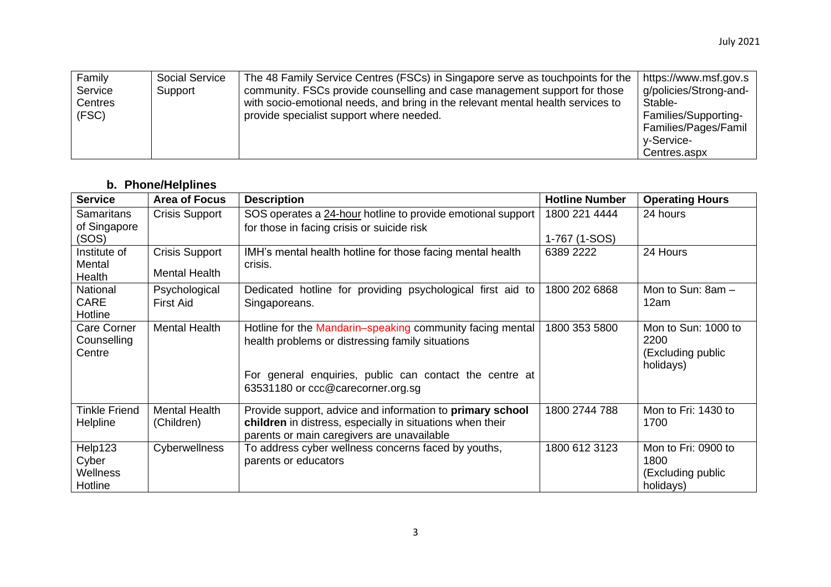| Family<br>Service<br>Centres<br>(FSC) | <b>Social Service</b><br>Support | The 48 Family Service Centres (FSCs) in Singapore serve as touchpoints for the<br>community. FSCs provide counselling and case management support for those<br>with socio-emotional needs, and bring in the relevant mental health services to<br>provide specialist support where needed. | https://www.msf.gov.s<br>g/policies/Strong-and-<br>Stable-<br>Families/Supporting-<br>Families/Pages/Famil<br>v-Service- |
|---------------------------------------|----------------------------------|--------------------------------------------------------------------------------------------------------------------------------------------------------------------------------------------------------------------------------------------------------------------------------------------|--------------------------------------------------------------------------------------------------------------------------|
|                                       |                                  |                                                                                                                                                                                                                                                                                            | Centres.aspx                                                                                                             |

### **b. Phone/Helplines**

<span id="page-2-0"></span>

| <b>Service</b>                              | <b>Area of Focus</b>                   | <b>Description</b>                                                                                                                                                                                            | <b>Hotline Number</b>      | <b>Operating Hours</b>                                        |
|---------------------------------------------|----------------------------------------|---------------------------------------------------------------------------------------------------------------------------------------------------------------------------------------------------------------|----------------------------|---------------------------------------------------------------|
| <b>Samaritans</b><br>of Singapore           | <b>Crisis Support</b>                  | SOS operates a 24-hour hotline to provide emotional support<br>for those in facing crisis or suicide risk                                                                                                     | 1800 221 4444              | 24 hours                                                      |
| (SOS)<br>Institute of<br>Mental<br>Health   | <b>Crisis Support</b><br>Mental Health | IMH's mental health hotline for those facing mental health<br>crisis.                                                                                                                                         | 1-767 (1-SOS)<br>6389 2222 | 24 Hours                                                      |
| National<br>CARE<br>Hotline                 | Psychological<br><b>First Aid</b>      | Dedicated hotline for providing psychological first aid to<br>Singaporeans.                                                                                                                                   | 1800 202 6868              | Mon to Sun: 8am -<br>12am                                     |
| <b>Care Corner</b><br>Counselling<br>Centre | <b>Mental Health</b>                   | Hotline for the Mandarin-speaking community facing mental<br>health problems or distressing family situations<br>For general enquiries, public can contact the centre at<br>63531180 or ccc@carecorner.org.sg | 1800 353 5800              | Mon to Sun: 1000 to<br>2200<br>(Excluding public<br>holidays) |
| <b>Tinkle Friend</b><br>Helpline            | <b>Mental Health</b><br>(Children)     | Provide support, advice and information to primary school<br>children in distress, especially in situations when their<br>parents or main caregivers are unavailable                                          | 1800 2744 788              | Mon to Fri: 1430 to<br>1700                                   |
| Help123<br>Cyber<br>Wellness<br>Hotline     | Cyberwellness                          | To address cyber wellness concerns faced by youths,<br>parents or educators                                                                                                                                   | 1800 612 3123              | Mon to Fri: 0900 to<br>1800<br>(Excluding public<br>holidays) |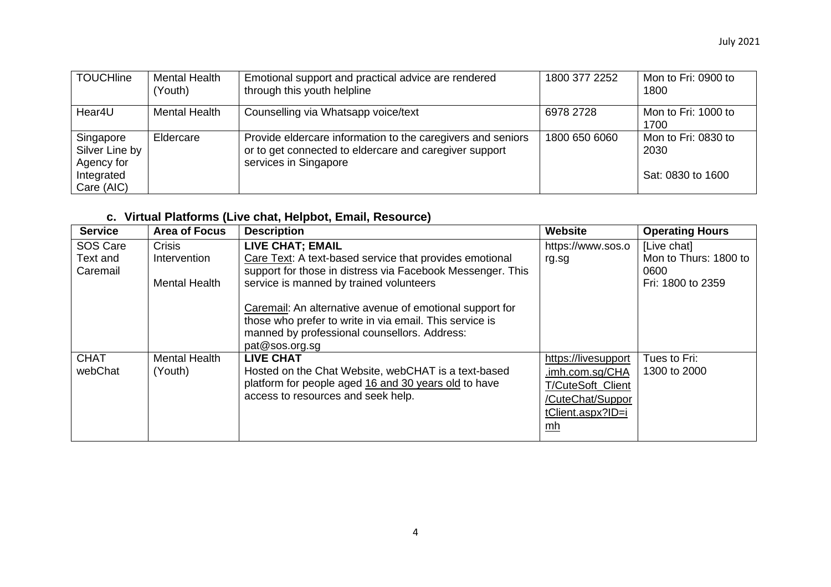| <b>TOUCHline</b>                                                      | <b>Mental Health</b><br>(Youth) | Emotional support and practical advice are rendered<br>through this youth helpline                                                             | 1800 377 2252 | Mon to Fri: 0900 to<br>1800                      |
|-----------------------------------------------------------------------|---------------------------------|------------------------------------------------------------------------------------------------------------------------------------------------|---------------|--------------------------------------------------|
| Hear4U                                                                | <b>Mental Health</b>            | Counselling via Whatsapp voice/text                                                                                                            | 6978 2728     | Mon to Fri: 1000 to<br>1700                      |
| Singapore<br>Silver Line by<br>Agency for<br>Integrated<br>Care (AIC) | Eldercare                       | Provide eldercare information to the caregivers and seniors<br>or to get connected to eldercare and caregiver support<br>services in Singapore | 1800 650 6060 | Mon to Fri: 0830 to<br>2030<br>Sat: 0830 to 1600 |

## **c. Virtual Platforms (Live chat, Helpbot, Email, Resource)**

<span id="page-3-0"></span>

| <b>Service</b>                   | <b>Area of Focus</b>                                  | <b>Description</b>                                                                                                                                                                                                                                                                                                                                                                   | Website                                                                                                           | <b>Operating Hours</b>                                             |
|----------------------------------|-------------------------------------------------------|--------------------------------------------------------------------------------------------------------------------------------------------------------------------------------------------------------------------------------------------------------------------------------------------------------------------------------------------------------------------------------------|-------------------------------------------------------------------------------------------------------------------|--------------------------------------------------------------------|
| SOS Care<br>Text and<br>Caremail | <b>Crisis</b><br>Intervention<br><b>Mental Health</b> | <b>LIVE CHAT; EMAIL</b><br>Care Text: A text-based service that provides emotional<br>support for those in distress via Facebook Messenger. This<br>service is manned by trained volunteers<br>Caremail: An alternative avenue of emotional support for<br>those who prefer to write in via email. This service is<br>manned by professional counsellors. Address:<br>pat@sos.org.sg | https://www.sos.o<br>rg.sg                                                                                        | [Live chat]<br>Mon to Thurs: 1800 to<br>0600.<br>Fri: 1800 to 2359 |
| <b>CHAT</b><br>webChat           | <b>Mental Health</b><br>(Youth)                       | <b>LIVE CHAT</b><br>Hosted on the Chat Website, webCHAT is a text-based<br>platform for people aged 16 and 30 years old to have<br>access to resources and seek help.                                                                                                                                                                                                                | https://livesupport<br>.imh.com.sg/CHA<br>T/CuteSoft Client<br>/CuteChat/Suppor<br>tClient.aspx?ID=i<br><u>mh</u> | Tues to Fri:<br>1300 to 2000                                       |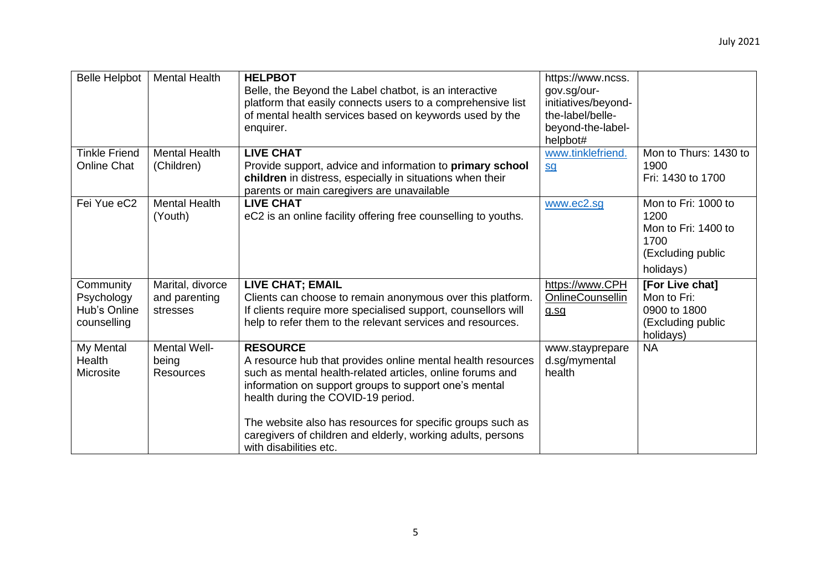| <b>Belle Helpbot</b>                                   | <b>Mental Health</b>                          | <b>HELPBOT</b><br>Belle, the Beyond the Label chatbot, is an interactive<br>platform that easily connects users to a comprehensive list<br>of mental health services based on keywords used by the<br>enquirer.                                                                                                                                                                                   | https://www.ncss.<br>gov.sg/our-<br>initiatives/beyond-<br>the-label/belle-<br>beyond-the-label-<br>helpbot# |                                                                                              |
|--------------------------------------------------------|-----------------------------------------------|---------------------------------------------------------------------------------------------------------------------------------------------------------------------------------------------------------------------------------------------------------------------------------------------------------------------------------------------------------------------------------------------------|--------------------------------------------------------------------------------------------------------------|----------------------------------------------------------------------------------------------|
| <b>Tinkle Friend</b><br><b>Online Chat</b>             | <b>Mental Health</b><br>(Children)            | <b>LIVE CHAT</b><br>Provide support, advice and information to primary school<br>children in distress, especially in situations when their<br>parents or main caregivers are unavailable                                                                                                                                                                                                          | www.tinklefriend.<br><u>sg</u>                                                                               | Mon to Thurs: 1430 to<br>1900<br>Fri: 1430 to 1700                                           |
| Fei Yue eC2                                            | <b>Mental Health</b><br>(Youth)               | <b>LIVE CHAT</b><br>eC2 is an online facility offering free counselling to youths.                                                                                                                                                                                                                                                                                                                | www.ec2.sg                                                                                                   | Mon to Fri: 1000 to<br>1200<br>Mon to Fri: 1400 to<br>1700<br>(Excluding public<br>holidays) |
| Community<br>Psychology<br>Hub's Online<br>counselling | Marital, divorce<br>and parenting<br>stresses | <b>LIVE CHAT; EMAIL</b><br>Clients can choose to remain anonymous over this platform.<br>If clients require more specialised support, counsellors will<br>help to refer them to the relevant services and resources.                                                                                                                                                                              | https://www.CPH<br>OnlineCounsellin<br>q.sq                                                                  | [For Live chat]<br>Mon to Fri:<br>0900 to 1800<br>(Excluding public<br>holidays)             |
| My Mental<br>Health<br>Microsite                       | Mental Well-<br>being<br><b>Resources</b>     | <b>RESOURCE</b><br>A resource hub that provides online mental health resources<br>such as mental health-related articles, online forums and<br>information on support groups to support one's mental<br>health during the COVID-19 period.<br>The website also has resources for specific groups such as<br>caregivers of children and elderly, working adults, persons<br>with disabilities etc. | www.stayprepare<br>d.sg/mymental<br>health                                                                   | <b>NA</b>                                                                                    |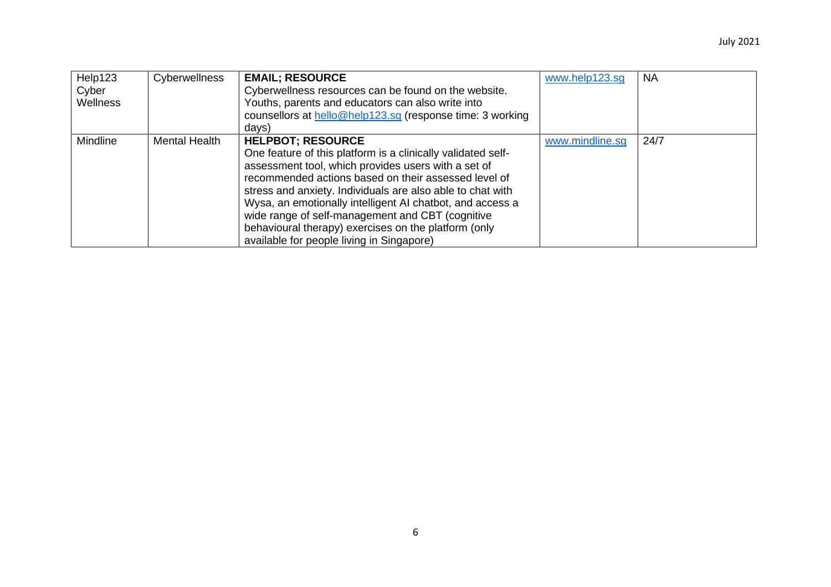| Help123<br>Cyber<br><b>Wellness</b> | Cyberwellness        | <b>EMAIL; RESOURCE</b><br>Cyberwellness resources can be found on the website.<br>Youths, parents and educators can also write into<br>counsellors at hello@help123.sg (response time: 3 working<br>days)                                                                                                                                                                                                                                                                                   | www.help123.sg  | <b>NA</b> |
|-------------------------------------|----------------------|---------------------------------------------------------------------------------------------------------------------------------------------------------------------------------------------------------------------------------------------------------------------------------------------------------------------------------------------------------------------------------------------------------------------------------------------------------------------------------------------|-----------------|-----------|
| Mindline                            | <b>Mental Health</b> | <b>HELPBOT; RESOURCE</b><br>One feature of this platform is a clinically validated self-<br>assessment tool, which provides users with a set of<br>recommended actions based on their assessed level of<br>stress and anxiety. Individuals are also able to chat with<br>Wysa, an emotionally intelligent AI chatbot, and access a<br>wide range of self-management and CBT (cognitive<br>behavioural therapy) exercises on the platform (only<br>available for people living in Singapore) | www.mindline.sq | 24/7      |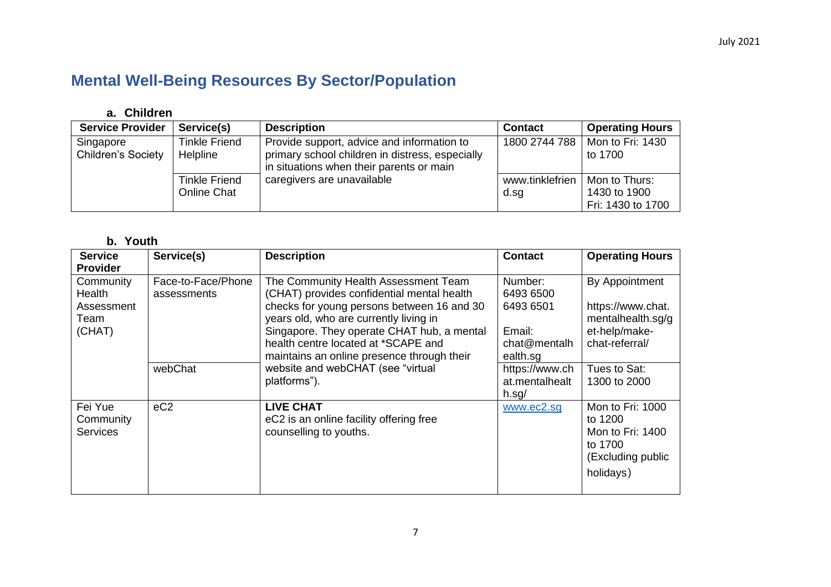# <span id="page-6-0"></span>**Mental Well-Being Resources By Sector/Population**

## **a. Children**

<span id="page-6-1"></span>

| <b>Service Provider</b>                | Service(s)                                 | <b>Description</b>                                                                                                                        | <b>Contact</b>          | <b>Operating Hours</b>                             |
|----------------------------------------|--------------------------------------------|-------------------------------------------------------------------------------------------------------------------------------------------|-------------------------|----------------------------------------------------|
| Singapore<br><b>Children's Society</b> | Tinkle Friend<br><b>Helpline</b>           | Provide support, advice and information to<br>primary school children in distress, especially<br>in situations when their parents or main | 1800 2744 788           | Mon to Fri: 1430<br>to 1700                        |
|                                        | <b>Tinkle Friend</b><br><b>Online Chat</b> | caregivers are unavailable                                                                                                                | www.tinklefrien<br>d.sg | Mon to Thurs:<br>1430 to 1900<br>Fri: 1430 to 1700 |

#### **b. Youth**

<span id="page-6-2"></span>

| <b>Service</b>                                             | Service(s)                        | <b>Description</b>                                                                                                                                                                                                                                                                                            | <b>Contact</b>                                                          | <b>Operating Hours</b>                                                                       |
|------------------------------------------------------------|-----------------------------------|---------------------------------------------------------------------------------------------------------------------------------------------------------------------------------------------------------------------------------------------------------------------------------------------------------------|-------------------------------------------------------------------------|----------------------------------------------------------------------------------------------|
| <b>Provider</b>                                            |                                   |                                                                                                                                                                                                                                                                                                               |                                                                         |                                                                                              |
| Community<br><b>Health</b><br>Assessment<br>Team<br>(CHAT) | Face-to-Face/Phone<br>assessments | The Community Health Assessment Team<br>(CHAT) provides confidential mental health<br>checks for young persons between 16 and 30<br>years old, who are currently living in<br>Singapore. They operate CHAT hub, a mental<br>health centre located at *SCAPE and<br>maintains an online presence through their | Number:<br>6493 6500<br>6493 6501<br>Email:<br>chat@mentalh<br>ealth.sg | By Appointment<br>https://www.chat.<br>mentalhealth.sg/g<br>et-help/make-<br>chat-referral/  |
|                                                            | webChat                           | website and webCHAT (see "virtual<br>platforms").                                                                                                                                                                                                                                                             | https://www.ch<br>at.mentalhealt<br>$h.\text{sq}/$                      | Tues to Sat:<br>1300 to 2000                                                                 |
| Fei Yue<br>Community<br><b>Services</b>                    | eC2                               | <b>LIVE CHAT</b><br>eC2 is an online facility offering free<br>counselling to youths.                                                                                                                                                                                                                         | www.ec2.sg                                                              | Mon to Fri: 1000<br>to 1200<br>Mon to Fri: 1400<br>to 1700<br>(Excluding public<br>holidays) |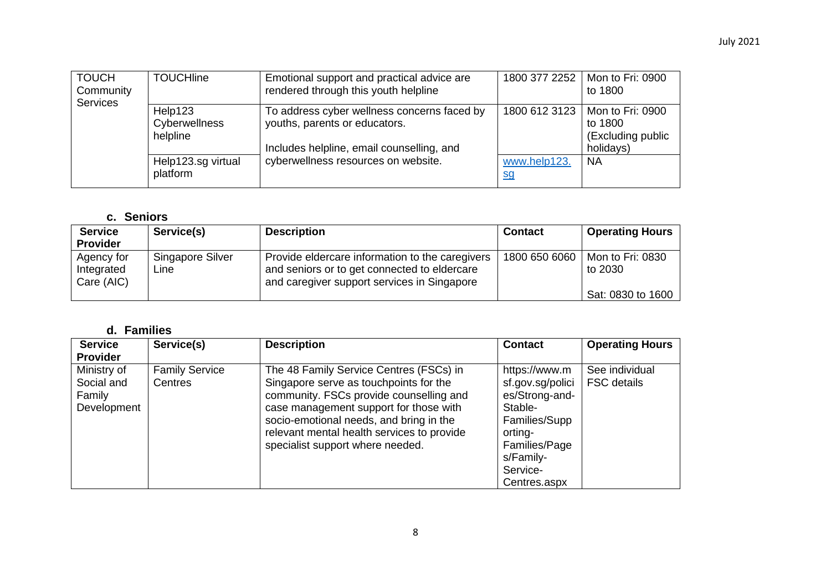| <b>TOUCH</b><br>Community<br><b>Services</b> | <b>TOUCHline</b>                     | Emotional support and practical advice are<br>rendered through this youth helpline                                        | 1800 377 2252             | Mon to Fri: 0900<br>to 1800                                   |
|----------------------------------------------|--------------------------------------|---------------------------------------------------------------------------------------------------------------------------|---------------------------|---------------------------------------------------------------|
|                                              | Help123<br>Cyberwellness<br>helpline | To address cyber wellness concerns faced by<br>youths, parents or educators.<br>Includes helpline, email counselling, and | 1800 612 3123             | Mon to Fri: 0900<br>to 1800<br>(Excluding public<br>holidays) |
|                                              | Help123.sg virtual<br>platform       | cyberwellness resources on website.                                                                                       | www.help123.<br><u>sq</u> | <b>NA</b>                                                     |

## **c. Seniors**

<span id="page-7-0"></span>

| <b>Service</b><br><b>Provider</b>      | Service(s)               | <b>Description</b>                                                                                                                             | <b>Contact</b> | <b>Operating Hours</b>      |
|----------------------------------------|--------------------------|------------------------------------------------------------------------------------------------------------------------------------------------|----------------|-----------------------------|
| Agency for<br>Integrated<br>Care (AIC) | Singapore Silver<br>Line | Provide eldercare information to the caregivers<br>and seniors or to get connected to eldercare<br>and caregiver support services in Singapore | 1800 650 6060  | Mon to Fri: 0830<br>to 2030 |
|                                        |                          |                                                                                                                                                |                | Sat: 0830 to 1600           |

## **d. Families**

<span id="page-7-1"></span>

| <b>Service</b>                                     | Service(s)                       | <b>Description</b>                                                                                                                                                                                                                                                                                  | <b>Contact</b>                                                                                                                       | <b>Operating Hours</b>               |
|----------------------------------------------------|----------------------------------|-----------------------------------------------------------------------------------------------------------------------------------------------------------------------------------------------------------------------------------------------------------------------------------------------------|--------------------------------------------------------------------------------------------------------------------------------------|--------------------------------------|
| <b>Provider</b>                                    |                                  |                                                                                                                                                                                                                                                                                                     |                                                                                                                                      |                                      |
| Ministry of<br>Social and<br>Family<br>Development | <b>Family Service</b><br>Centres | The 48 Family Service Centres (FSCs) in<br>Singapore serve as touchpoints for the<br>community. FSCs provide counselling and<br>case management support for those with<br>socio-emotional needs, and bring in the<br>relevant mental health services to provide<br>specialist support where needed. | https://www.m<br>sf.gov.sg/polici<br>es/Strong-and-<br>Stable-<br>Families/Supp<br>orting-<br>Families/Page<br>s/Family-<br>Service- | See individual<br><b>FSC</b> details |
|                                                    |                                  |                                                                                                                                                                                                                                                                                                     | Centres.aspx                                                                                                                         |                                      |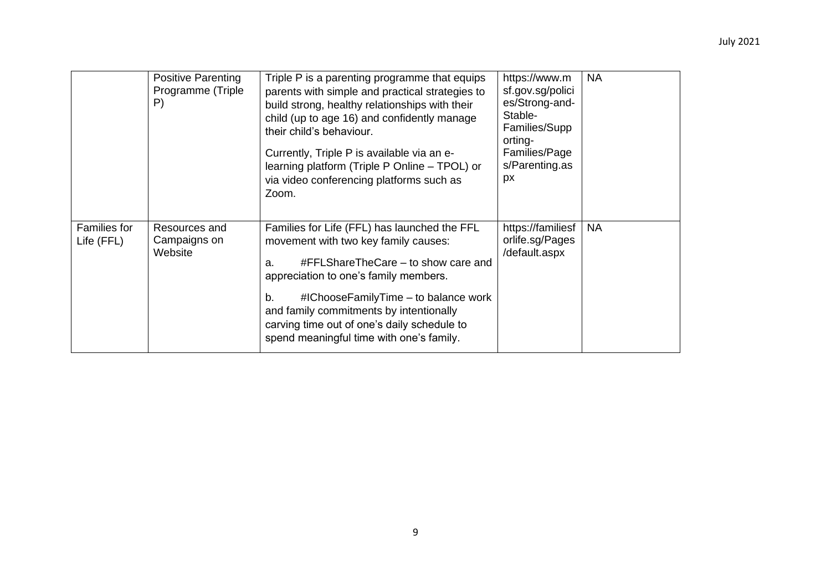|                                   | <b>Positive Parenting</b><br>Programme (Triple<br>P) | Triple P is a parenting programme that equips<br>parents with simple and practical strategies to<br>build strong, healthy relationships with their<br>child (up to age 16) and confidently manage<br>their child's behaviour.<br>Currently, Triple P is available via an e-<br>learning platform (Triple P Online – TPOL) or<br>via video conferencing platforms such as<br>Zoom. | https://www.m<br>sf.gov.sg/polici<br>es/Strong-and-<br>Stable-<br>Families/Supp<br>orting-<br>Families/Page<br>s/Parenting.as<br>px | <b>NA</b> |
|-----------------------------------|------------------------------------------------------|-----------------------------------------------------------------------------------------------------------------------------------------------------------------------------------------------------------------------------------------------------------------------------------------------------------------------------------------------------------------------------------|-------------------------------------------------------------------------------------------------------------------------------------|-----------|
| <b>Families for</b><br>Life (FFL) | Resources and<br>Campaigns on<br>Website             | Families for Life (FFL) has launched the FFL<br>movement with two key family causes:<br>#FFLShareTheCare – to show care and<br>a.<br>appreciation to one's family members.<br>#IChooseFamilyTime – to balance work<br>b.<br>and family commitments by intentionally<br>carving time out of one's daily schedule to<br>spend meaningful time with one's family.                    | https://familiesf<br>orlife.sg/Pages<br>/default.aspx                                                                               | <b>NA</b> |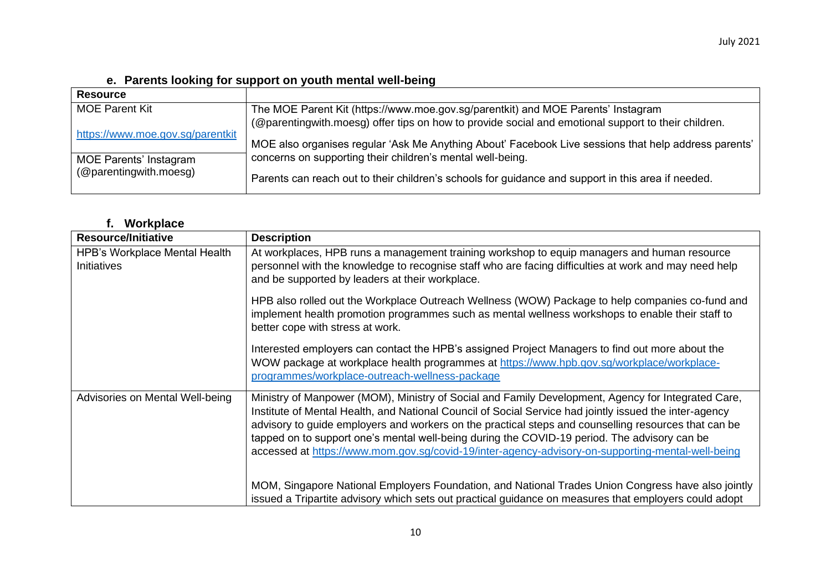**e. Parents looking for support on youth mental well-being**

<span id="page-9-0"></span>

| <b>Resource</b>                  |                                                                                                      |
|----------------------------------|------------------------------------------------------------------------------------------------------|
| <b>MOE Parent Kit</b>            | The MOE Parent Kit (https://www.moe.gov.sg/parentkit) and MOE Parents' Instagram                     |
| https://www.moe.gov.sg/parentkit | (@parentingwith.moesg) offer tips on how to provide social and emotional support to their children.  |
|                                  | MOE also organises regular 'Ask Me Anything About' Facebook Live sessions that help address parents' |
| <b>MOE Parents' Instagram</b>    | concerns on supporting their children's mental well-being.                                           |
| (@parentingwith.moesg)           | Parents can reach out to their children's schools for guidance and support in this area if needed.   |

#### **f. Workplace**

<span id="page-9-1"></span>

| <b>Resource/Initiative</b>                                 | <b>Description</b>                                                                                                                                                                                                                                                                                                                                                                                                                                                                                                        |
|------------------------------------------------------------|---------------------------------------------------------------------------------------------------------------------------------------------------------------------------------------------------------------------------------------------------------------------------------------------------------------------------------------------------------------------------------------------------------------------------------------------------------------------------------------------------------------------------|
| <b>HPB's Workplace Mental Health</b><br><b>Initiatives</b> | At workplaces, HPB runs a management training workshop to equip managers and human resource<br>personnel with the knowledge to recognise staff who are facing difficulties at work and may need help<br>and be supported by leaders at their workplace.                                                                                                                                                                                                                                                                   |
|                                                            | HPB also rolled out the Workplace Outreach Wellness (WOW) Package to help companies co-fund and<br>implement health promotion programmes such as mental wellness workshops to enable their staff to<br>better cope with stress at work.                                                                                                                                                                                                                                                                                   |
|                                                            | Interested employers can contact the HPB's assigned Project Managers to find out more about the<br>WOW package at workplace health programmes at https://www.hpb.gov.sg/workplace/workplace-<br>programmes/workplace-outreach-wellness-package                                                                                                                                                                                                                                                                            |
| Advisories on Mental Well-being                            | Ministry of Manpower (MOM), Ministry of Social and Family Development, Agency for Integrated Care,<br>Institute of Mental Health, and National Council of Social Service had jointly issued the inter-agency<br>advisory to guide employers and workers on the practical steps and counselling resources that can be<br>tapped on to support one's mental well-being during the COVID-19 period. The advisory can be<br>accessed at https://www.mom.gov.sg/covid-19/inter-agency-advisory-on-supporting-mental-well-being |
|                                                            | MOM, Singapore National Employers Foundation, and National Trades Union Congress have also jointly<br>issued a Tripartite advisory which sets out practical guidance on measures that employers could adopt                                                                                                                                                                                                                                                                                                               |